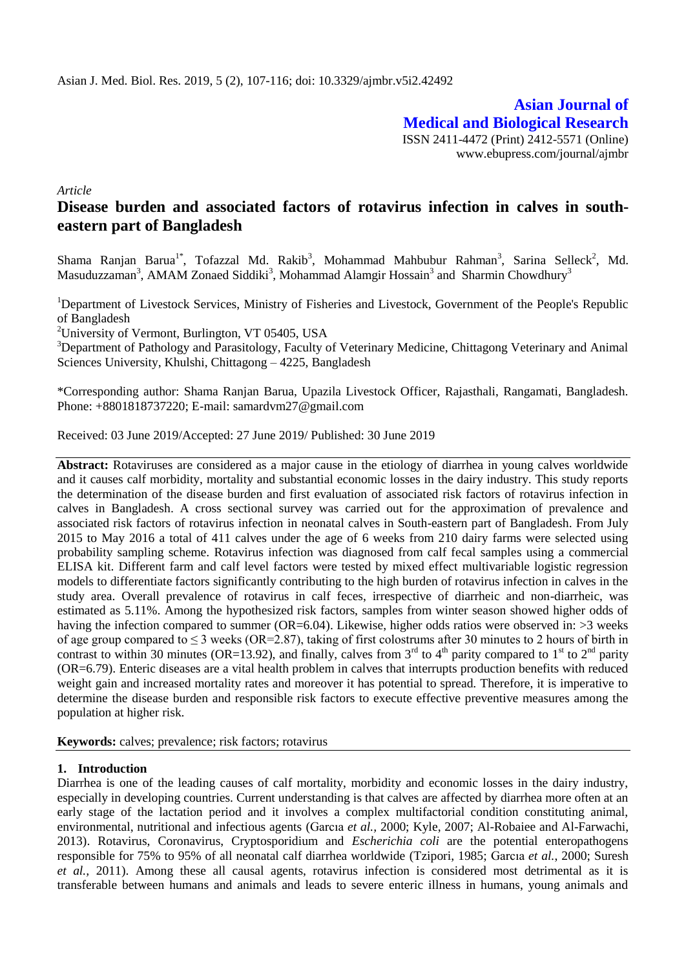**Asian Journal of Medical and Biological Research** ISSN 2411-4472 (Print) 2412-5571 (Online) www.ebupress.com/journal/ajmbr

*Article*

# **Disease burden and associated factors of rotavirus infection in calves in southeastern part of Bangladesh**

Shama Ranjan Barua<sup>1\*</sup>, Tofazzal Md. Rakib<sup>3</sup>, Mohammad Mahbubur Rahman<sup>3</sup>, Sarina Selleck<sup>2</sup>, Md. Masuduzzaman<sup>3</sup>, AMAM Zonaed Siddiki<sup>3</sup>, Mohammad Alamgir Hossain<sup>3</sup> and Sharmin Chowdhury<sup>3</sup>

<sup>1</sup>Department of Livestock Services, Ministry of Fisheries and Livestock, Government of the People's Republic of Bangladesh

<sup>2</sup>University of Vermont, Burlington, VT 05405, USA

<sup>3</sup>Department of Pathology and Parasitology, Faculty of Veterinary Medicine, Chittagong Veterinary and Animal Sciences University, Khulshi, Chittagong – 4225, Bangladesh

\*Corresponding author: Shama Ranjan Barua, Upazila Livestock Officer, Rajasthali, Rangamati, Bangladesh. Phone: +8801818737220; E-mail: samardvm27@gmail.com

Received: 03 June 2019/Accepted: 27 June 2019/ Published: 30 June 2019

**Abstract:** Rotaviruses are considered as a major cause in the etiology of diarrhea in young calves worldwide and it causes calf morbidity, mortality and substantial economic losses in the dairy industry. This study reports the determination of the disease burden and first evaluation of associated risk factors of rotavirus infection in calves in Bangladesh. A cross sectional survey was carried out for the approximation of prevalence and associated risk factors of rotavirus infection in neonatal calves in South-eastern part of Bangladesh. From July 2015 to May 2016 a total of 411 calves under the age of 6 weeks from 210 dairy farms were selected using probability sampling scheme. Rotavirus infection was diagnosed from calf fecal samples using a commercial ELISA kit. Different farm and calf level factors were tested by mixed effect multivariable logistic regression models to differentiate factors significantly contributing to the high burden of rotavirus infection in calves in the study area. Overall prevalence of rotavirus in calf feces, irrespective of diarrheic and non-diarrheic, was estimated as 5.11%. Among the hypothesized risk factors, samples from winter season showed higher odds of having the infection compared to summer (OR=6.04). Likewise, higher odds ratios were observed in: >3 weeks of age group compared to  $\leq$  3 weeks (OR=2.87), taking of first colostrums after 30 minutes to 2 hours of birth in contrast to within 30 minutes (OR=13.92), and finally, calves from  $3<sup>rd</sup>$  to  $4<sup>th</sup>$  parity compared to  $1<sup>st</sup>$  to  $2<sup>nd</sup>$  parity (OR=6.79). Enteric diseases are a vital health problem in calves that interrupts production benefits with reduced weight gain and increased mortality rates and moreover it has potential to spread. Therefore, it is imperative to determine the disease burden and responsible risk factors to execute effective preventive measures among the population at higher risk.

**Keywords:** calves; prevalence; risk factors; rotavirus

## **1. Introduction**

Diarrhea is one of the leading causes of calf mortality, morbidity and economic losses in the dairy industry, especially in developing countries. Current understanding is that calves are affected by diarrhea more often at an early stage of the lactation period and it involves a complex multifactorial condition constituting animal, environmental, nutritional and infectious agents [\(Garcıa](#page-8-0) *et al.,* 2000; [Kyle, 2007;](#page-9-0) [Al-Robaiee and Al-Farwachi,](#page-7-0)  [2013\)](#page-7-0). Rotavirus, Coronavirus, Cryptosporidium and *Escherichia coli* are the potential enteropathogens responsible for 75% to 95% of all neonatal calf diarrhea worldwide [\(Tzipori, 1985;](#page-9-1) [Garcıa](#page-8-0) *et al.*, 2000; [Suresh](#page-9-2)  *[et al.,](#page-9-2)* 2011). Among these all causal agents, rotavirus infection is considered most detrimental as it is transferable between humans and animals and leads to severe enteric illness in humans, young animals and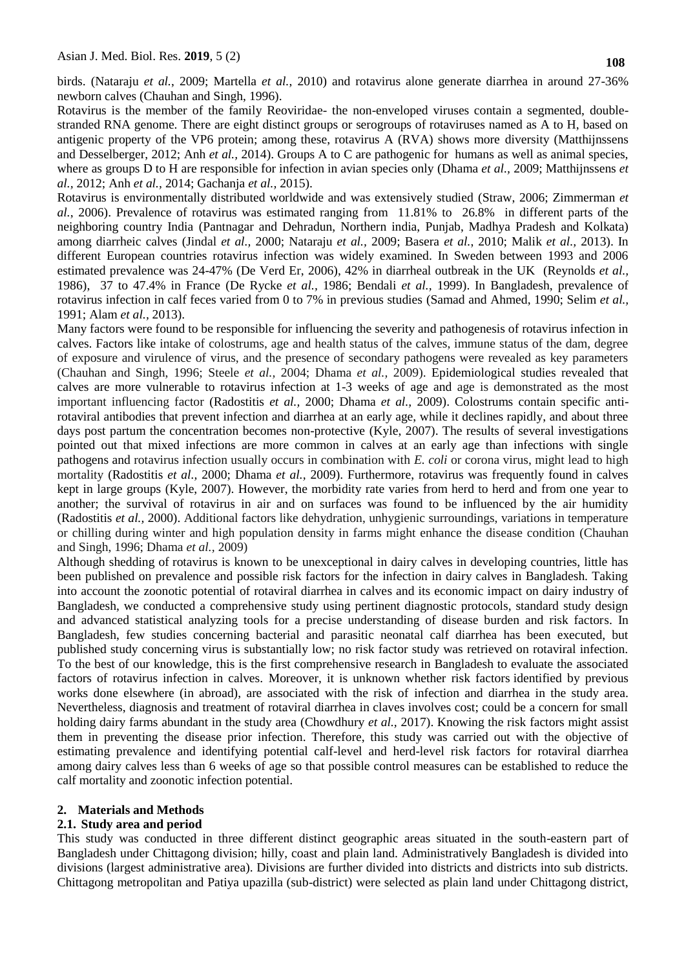birds. [\(Nataraju](#page-9-3) *et al.*, 2009; [Martella](#page-9-4) *et al.*, 2010) and rotavirus alone generate diarrhea in around 27-36% newborn calves [\(Chauhan and Singh, 1996\)](#page-8-1).

Rotavirus is the member of the family Reoviridae- the non-enveloped viruses contain a segmented, doublestranded RNA genome. There are eight distinct groups or serogroups of rotaviruses named as A to H, based on antigenic property of the VP6 protein; among these, rotavirus A (RVA) shows more diversity [\(Matthijnssens](#page-9-5)  [and Desselberger, 2012;](#page-9-5) Anh *[et al.,](#page-8-2)* 2014). Groups A to C are pathogenic for humans as well as animal species, where as groups D to H are responsible for infection in avian species only [\(Dhama](#page-8-3) *et al.,* 2009; [Matthijnssens](#page-9-6) *et al.,* [2012;](#page-9-6) Anh *[et al.,](#page-8-2)* 2014; [Gachanja](#page-8-4) *et al.,* 2015).

Rotavirus is environmentally distributed worldwide and was extensively studied [\(Straw, 2006;](#page-9-7) [Zimmerman](#page-9-8) *et al.*[, 2006\)](#page-9-8). Prevalence of rotavirus was estimated ranging from 11.81% to 26.8% in different parts of the neighboring country India (Pantnagar and Dehradun, Northern india, Punjab, Madhya Pradesh and Kolkata) among diarrheic calves [\(Jindal](#page-8-5) *et al.,* 2000; [Nataraju](#page-9-3) *et al.,* 2009; [Basera](#page-8-6) *et al.*, 2010; [Malik](#page-9-9) *et al.,* 2013). In different European countries rotavirus infection was widely examined. In Sweden between 1993 and 2006 estimated prevalence was 24-47% [\(De Verd Er, 2006\)](#page-8-7), 42% in diarrheal outbreak in the UK [\(Reynolds](#page-9-10) *et al.,* [1986\)](#page-9-10), 37 to 47.4% in France [\(De Rycke](#page-8-8) *et al.,* 1986; [Bendali](#page-8-9) *et al.,* 1999). In Bangladesh, prevalence of rotavirus infection in calf feces varied from 0 to 7% in previous studies [\(Samad and Ahmed, 1990;](#page-9-11) [Selim](#page-9-12) *et al.,*  [1991;](#page-9-12) [Alam](#page-8-10) *et al.,* 2013).

Many factors were found to be responsible for influencing the severity and pathogenesis of rotavirus infection in calves. Factors like intake of colostrums, age and health status of the calves, immune status of the dam, degree of exposure and virulence of virus, and the presence of secondary pathogens were revealed as key parameters [\(Chauhan and Singh, 1996;](#page-8-1) [Steele](#page-9-13) *et al.,* 2004; [Dhama](#page-8-3) *et al.,* 2009). Epidemiological studies revealed that calves are more vulnerable to rotavirus infection at 1-3 weeks of age and age is demonstrated as the most important influencing factor [\(Radostitis](#page-9-14) *et al.,* 2000; [Dhama](#page-8-3) *et al.,* 2009). Colostrums contain specific antirotaviral antibodies that prevent infection and diarrhea at an early age, while it declines rapidly, and about three days post partum the concentration becomes non-protective [\(Kyle, 2007\)](#page-9-0). The results of several investigations pointed out that mixed infections are more common in calves at an early age than infections with single pathogens and rotavirus infection usually occurs in combination with *E. coli* or corona virus, might lead to high mortality [\(Radostitis](#page-9-14) *et al.,* 2000; [Dhama](#page-8-3) *et al.,* 2009). Furthermore, rotavirus was frequently found in calves kept in large groups [\(Kyle, 2007\)](#page-9-0). However, the morbidity rate varies from herd to herd and from one year to another; the survival of rotavirus in air and on surfaces was found to be influenced by the air humidity [\(Radostitis](#page-9-14) *et al.,* 2000). Additional factors like dehydration, unhygienic surroundings, variations in temperature or chilling during winter and high population density in farms might enhance the disease condition [\(Chauhan](#page-8-1)  [and Singh, 1996;](#page-8-1) [Dhama](#page-8-3) *et al.,* 2009)

Although shedding of rotavirus is known to be unexceptional in dairy calves in developing countries, little has been published on prevalence and possible risk factors for the infection in dairy calves in Bangladesh. Taking into account the zoonotic potential of rotaviral diarrhea in calves and its economic impact on dairy industry of Bangladesh, we conducted a comprehensive study using pertinent diagnostic protocols, standard study design and advanced statistical analyzing tools for a precise understanding of disease burden and risk factors. In Bangladesh, few studies concerning bacterial and parasitic neonatal calf diarrhea has been executed, but published study concerning virus is substantially low; no risk factor study was retrieved on rotaviral infection. To the best of our knowledge, this is the first comprehensive research in Bangladesh to evaluate the associated factors of rotavirus infection in calves. Moreover, it is unknown whether risk factors identified by previous works done elsewhere (in abroad), are associated with the risk of infection and diarrhea in the study area. Nevertheless, diagnosis and treatment of rotaviral diarrhea in claves involves cost; could be a concern for small holding dairy farms abundant in the study area [\(Chowdhury](#page-8-11) *et al.*, 2017). Knowing the risk factors might assist them in preventing the disease prior infection. Therefore, this study was carried out with the objective of estimating prevalence and identifying potential calf-level and herd-level risk factors for rotaviral diarrhea among dairy calves less than 6 weeks of age so that possible control measures can be established to reduce the calf mortality and zoonotic infection potential.

## **2. Materials and Methods**

## **2.1. Study area and period**

This study was conducted in three different distinct geographic areas situated in the south-eastern part of Bangladesh under Chittagong division; hilly, coast and plain land. Administratively Bangladesh is divided into divisions (largest administrative area). Divisions are further divided into districts and districts into sub districts. Chittagong metropolitan and Patiya upazilla (sub-district) were selected as plain land under Chittagong district,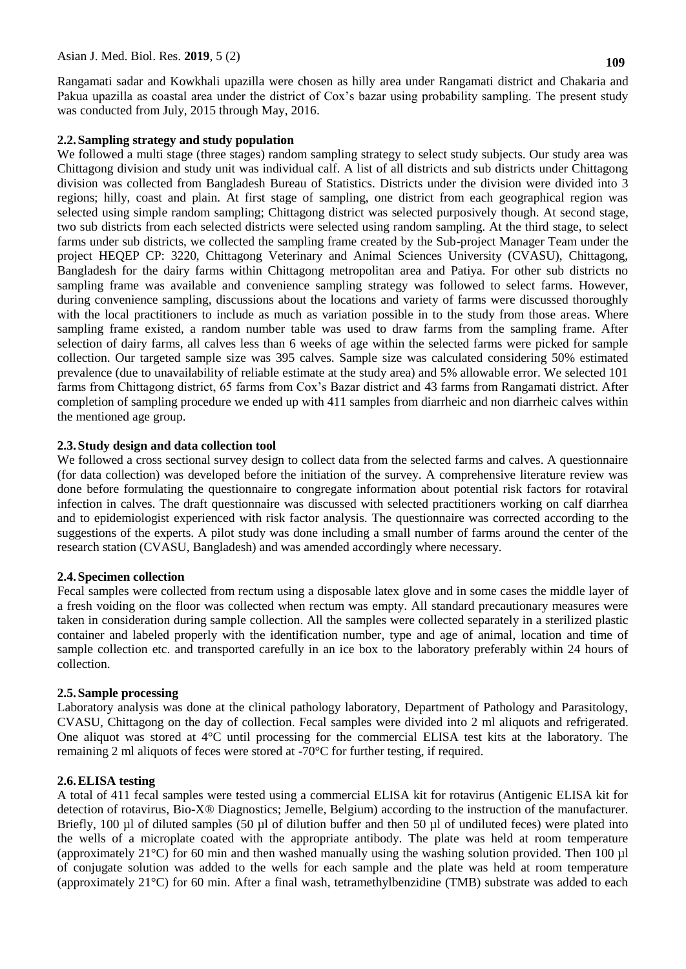Rangamati sadar and Kowkhali upazilla were chosen as hilly area under Rangamati district and Chakaria and Pakua upazilla as coastal area under the district of Cox"s bazar using probability sampling. The present study was conducted from July, 2015 through May, 2016.

# **2.2.Sampling strategy and study population**

We followed a multi stage (three stages) random sampling strategy to select study subjects. Our study area was Chittagong division and study unit was individual calf. A list of all districts and sub districts under Chittagong division was collected from Bangladesh Bureau of Statistics. Districts under the division were divided into 3 regions; hilly, coast and plain. At first stage of sampling, one district from each geographical region was selected using simple random sampling; Chittagong district was selected purposively though. At second stage, two sub districts from each selected districts were selected using random sampling. At the third stage, to select farms under sub districts, we collected the sampling frame created by the Sub-project Manager Team under the project HEQEP CP: 3220, Chittagong Veterinary and Animal Sciences University (CVASU), Chittagong, Bangladesh for the dairy farms within Chittagong metropolitan area and Patiya. For other sub districts no sampling frame was available and convenience sampling strategy was followed to select farms. However, during convenience sampling, discussions about the locations and variety of farms were discussed thoroughly with the local practitioners to include as much as variation possible in to the study from those areas. Where sampling frame existed, a random number table was used to draw farms from the sampling frame. After selection of dairy farms, all calves less than 6 weeks of age within the selected farms were picked for sample collection. Our targeted sample size was 395 calves. Sample size was calculated considering 50% estimated prevalence (due to unavailability of reliable estimate at the study area) and 5% allowable error. We selected 101 farms from Chittagong district, 65 farms from Cox"s Bazar district and 43 farms from Rangamati district. After completion of sampling procedure we ended up with 411 samples from diarrheic and non diarrheic calves within the mentioned age group.

# **2.3.Study design and data collection tool**

We followed a cross sectional survey design to collect data from the selected farms and calves. A questionnaire (for data collection) was developed before the initiation of the survey. A comprehensive literature review was done before formulating the questionnaire to congregate information about potential risk factors for rotaviral infection in calves. The draft questionnaire was discussed with selected practitioners working on calf diarrhea and to epidemiologist experienced with risk factor analysis. The questionnaire was corrected according to the suggestions of the experts. A pilot study was done including a small number of farms around the center of the research station (CVASU, Bangladesh) and was amended accordingly where necessary.

## **2.4.Specimen collection**

Fecal samples were collected from rectum using a disposable latex glove and in some cases the middle layer of a fresh voiding on the floor was collected when rectum was empty. All standard precautionary measures were taken in consideration during sample collection. All the samples were collected separately in a sterilized plastic container and labeled properly with the identification number, type and age of animal, location and time of sample collection etc. and transported carefully in an ice box to the laboratory preferably within 24 hours of collection.

## **2.5.Sample processing**

Laboratory analysis was done at the clinical pathology laboratory, Department of Pathology and Parasitology, CVASU, Chittagong on the day of collection. Fecal samples were divided into 2 ml aliquots and refrigerated. One aliquot was stored at 4°C until processing for the commercial ELISA test kits at the laboratory. The remaining 2 ml aliquots of feces were stored at -70°C for further testing, if required.

## **2.6.ELISA testing**

A total of 411 fecal samples were tested using a commercial ELISA kit for rotavirus (Antigenic ELISA kit for detection of rotavirus, Bio-X® Diagnostics; Jemelle, Belgium) according to the instruction of the manufacturer. Briefly, 100 µl of diluted samples (50 µl of dilution buffer and then 50 µl of undiluted feces) were plated into the wells of a microplate coated with the appropriate antibody. The plate was held at room temperature (approximately 21°C) for 60 min and then washed manually using the washing solution provided. Then 100 µl of conjugate solution was added to the wells for each sample and the plate was held at room temperature (approximately 21°C) for 60 min. After a final wash, tetramethylbenzidine (TMB) substrate was added to each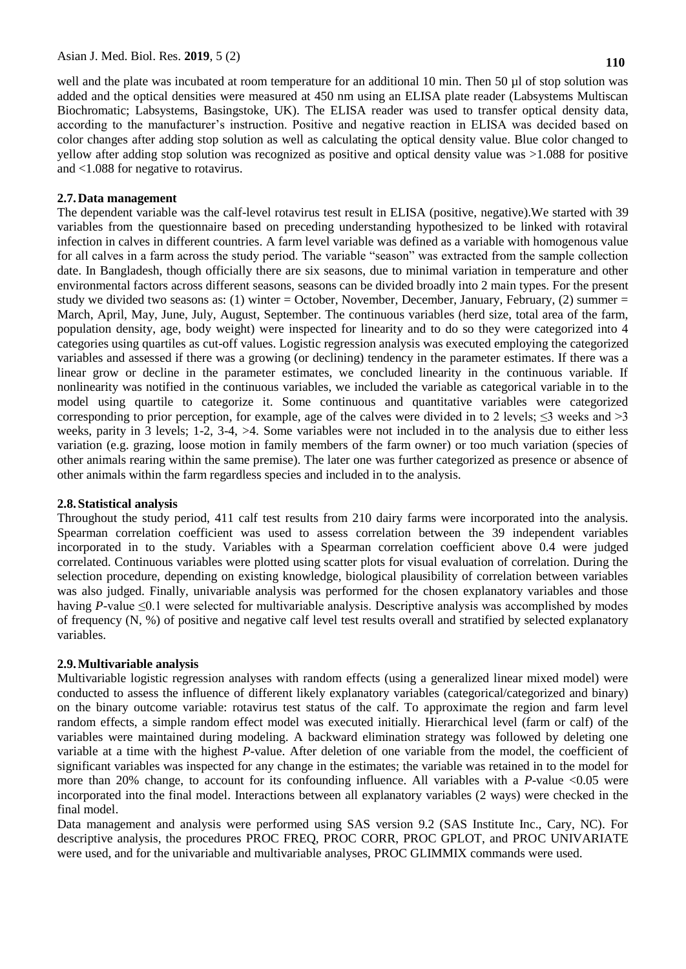well and the plate was incubated at room temperature for an additional 10 min. Then 50 µl of stop solution was added and the optical densities were measured at 450 nm using an ELISA plate reader (Labsystems Multiscan Biochromatic; Labsystems, Basingstoke, UK). The ELISA reader was used to transfer optical density data, according to the manufacturer's instruction. Positive and negative reaction in ELISA was decided based on color changes after adding stop solution as well as calculating the optical density value. Blue color changed to yellow after adding stop solution was recognized as positive and optical density value was >1.088 for positive and <1.088 for negative to rotavirus.

## **2.7.Data management**

The dependent variable was the calf-level rotavirus test result in ELISA (positive, negative).We started with 39 variables from the questionnaire based on preceding understanding hypothesized to be linked with rotaviral infection in calves in different countries. A farm level variable was defined as a variable with homogenous value for all calves in a farm across the study period. The variable "season" was extracted from the sample collection date. In Bangladesh, though officially there are six seasons, due to minimal variation in temperature and other environmental factors across different seasons, seasons can be divided broadly into 2 main types. For the present study we divided two seasons as: (1) winter = October, November, December, January, February, (2) summer = March, April, May, June, July, August, September. The continuous variables (herd size, total area of the farm, population density, age, body weight) were inspected for linearity and to do so they were categorized into 4 categories using quartiles as cut-off values. Logistic regression analysis was executed employing the categorized variables and assessed if there was a growing (or declining) tendency in the parameter estimates. If there was a linear grow or decline in the parameter estimates, we concluded linearity in the continuous variable. If nonlinearity was notified in the continuous variables, we included the variable as categorical variable in to the model using quartile to categorize it. Some continuous and quantitative variables were categorized corresponding to prior perception, for example, age of the calves were divided in to 2 levels;  $\leq$ 3 weeks and >3 weeks, parity in 3 levels; 1-2, 3-4, >4. Some variables were not included in to the analysis due to either less variation (e.g. grazing, loose motion in family members of the farm owner) or too much variation (species of other animals rearing within the same premise). The later one was further categorized as presence or absence of other animals within the farm regardless species and included in to the analysis.

## **2.8.Statistical analysis**

Throughout the study period, 411 calf test results from 210 dairy farms were incorporated into the analysis. Spearman correlation coefficient was used to assess correlation between the 39 independent variables incorporated in to the study. Variables with a Spearman correlation coefficient above 0.4 were judged correlated. Continuous variables were plotted using scatter plots for visual evaluation of correlation. During the selection procedure, depending on existing knowledge, biological plausibility of correlation between variables was also judged. Finally, univariable analysis was performed for the chosen explanatory variables and those having *P*-value ≤0.1 were selected for multivariable analysis. Descriptive analysis was accomplished by modes of frequency (N, %) of positive and negative calf level test results overall and stratified by selected explanatory variables.

## **2.9.Multivariable analysis**

Multivariable logistic regression analyses with random effects (using a generalized linear mixed model) were conducted to assess the influence of different likely explanatory variables (categorical/categorized and binary) on the binary outcome variable: rotavirus test status of the calf. To approximate the region and farm level random effects, a simple random effect model was executed initially. Hierarchical level (farm or calf) of the variables were maintained during modeling. A backward elimination strategy was followed by deleting one variable at a time with the highest *P*-value. After deletion of one variable from the model, the coefficient of significant variables was inspected for any change in the estimates; the variable was retained in to the model for more than 20% change, to account for its confounding influence. All variables with a *P*-value <0.05 were incorporated into the final model. Interactions between all explanatory variables (2 ways) were checked in the final model.

Data management and analysis were performed using SAS version 9.2 (SAS Institute Inc., Cary, NC). For descriptive analysis, the procedures PROC FREQ, PROC CORR, PROC GPLOT, and PROC UNIVARIATE were used, and for the univariable and multivariable analyses, PROC GLIMMIX commands were used.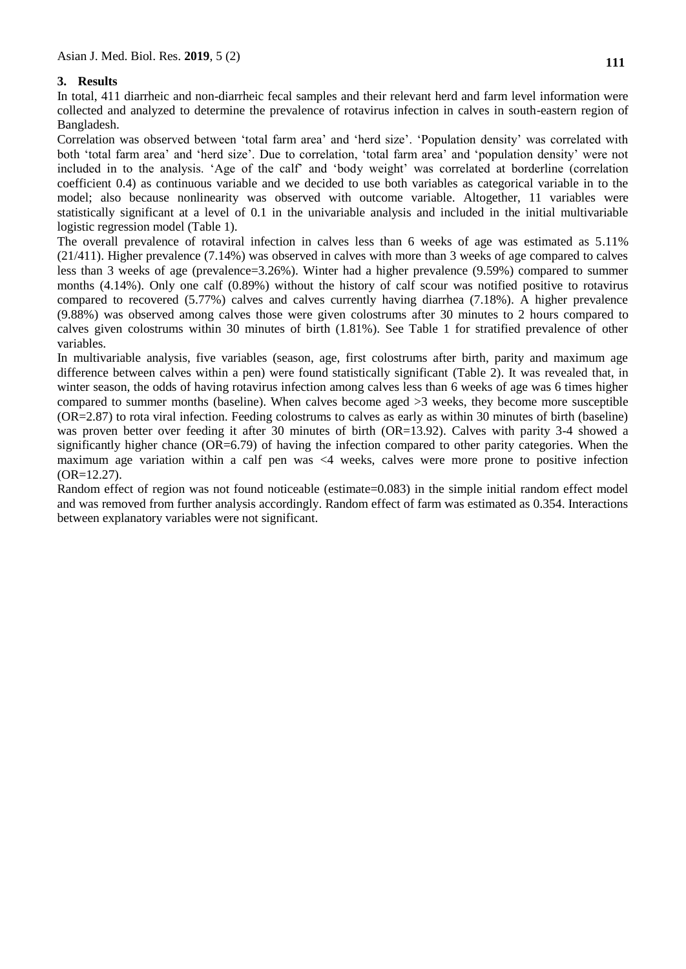# **3. Results**

In total, 411 diarrheic and non-diarrheic fecal samples and their relevant herd and farm level information were collected and analyzed to determine the prevalence of rotavirus infection in calves in south-eastern region of Bangladesh.

Correlation was observed between 'total farm area' and 'herd size'. 'Population density' was correlated with both 'total farm area' and 'herd size'. Due to correlation, 'total farm area' and 'population density' were not included in to the analysis. "Age of the calf" and "body weight" was correlated at borderline (correlation coefficient 0.4) as continuous variable and we decided to use both variables as categorical variable in to the model; also because nonlinearity was observed with outcome variable. Altogether, 11 variables were statistically significant at a level of 0.1 in the univariable analysis and included in the initial multivariable logistic regression model (Table 1).

The overall prevalence of rotaviral infection in calves less than 6 weeks of age was estimated as 5.11% (21/411). Higher prevalence (7.14%) was observed in calves with more than 3 weeks of age compared to calves less than 3 weeks of age (prevalence=3.26%). Winter had a higher prevalence (9.59%) compared to summer months (4.14%). Only one calf (0.89%) without the history of calf scour was notified positive to rotavirus compared to recovered (5.77%) calves and calves currently having diarrhea (7.18%). A higher prevalence (9.88%) was observed among calves those were given colostrums after 30 minutes to 2 hours compared to calves given colostrums within 30 minutes of birth (1.81%). See Table 1 for stratified prevalence of other variables.

In multivariable analysis, five variables (season, age, first colostrums after birth, parity and maximum age difference between calves within a pen) were found statistically significant (Table 2). It was revealed that, in winter season, the odds of having rotavirus infection among calves less than 6 weeks of age was 6 times higher compared to summer months (baseline). When calves become aged >3 weeks, they become more susceptible (OR=2.87) to rota viral infection. Feeding colostrums to calves as early as within 30 minutes of birth (baseline) was proven better over feeding it after 30 minutes of birth (OR=13.92). Calves with parity 3-4 showed a significantly higher chance (OR=6.79) of having the infection compared to other parity categories. When the maximum age variation within a calf pen was <4 weeks, calves were more prone to positive infection (OR=12.27).

Random effect of region was not found noticeable (estimate=0.083) in the simple initial random effect model and was removed from further analysis accordingly. Random effect of farm was estimated as 0.354. Interactions between explanatory variables were not significant.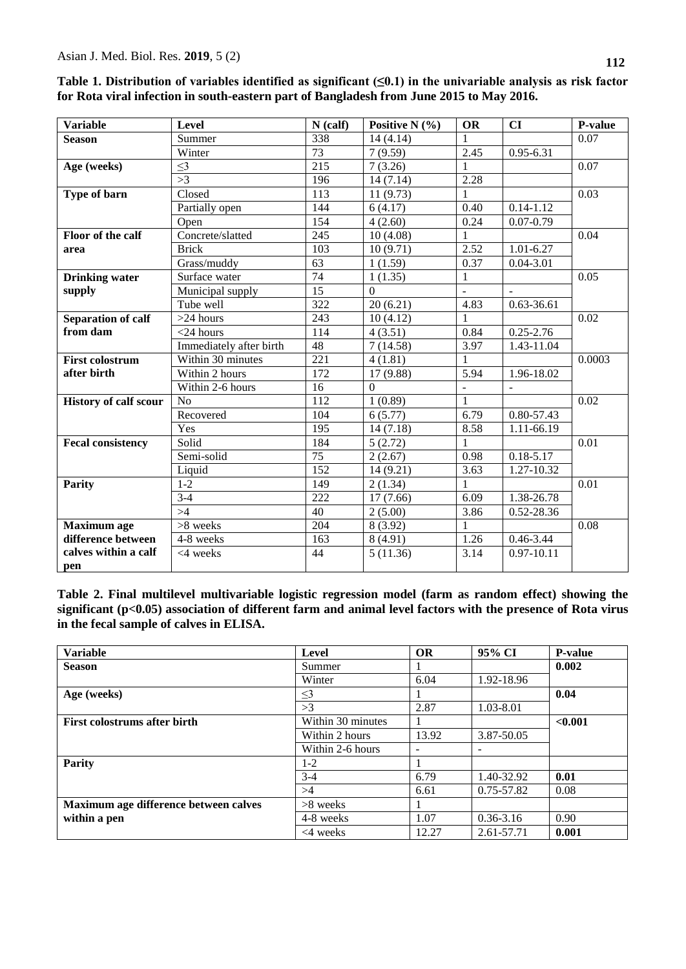| <b>Variable</b>              | <b>Level</b>            | $N$ (calf)       | Positive N $(\% )$ | <b>OR</b>      | CI             | <b>P-value</b>    |
|------------------------------|-------------------------|------------------|--------------------|----------------|----------------|-------------------|
| <b>Season</b>                | Summer                  | 338              | 14(4.14)           | $\mathbf{1}$   |                | 0.07              |
|                              | Winter                  | 73               | 7(9.59)            | 2.45           | $0.95 - 6.31$  |                   |
| Age (weeks)                  | $\leq$ 3                | 215              | 7(3.26)            | 1              |                | 0.07              |
|                              | >3                      | 196              | 14(7.14)           | 2.28           |                |                   |
| Type of barn                 | Closed                  | 113              | 11(9.73)           | 1              |                | 0.03              |
|                              | Partially open          | 144              | 6(4.17)            | 0.40           | $0.14 - 1.12$  |                   |
|                              | Open                    | 154              | 4(2.60)            | 0.24           | $0.07 - 0.79$  |                   |
| Floor of the calf            | Concrete/slatted        | 245              | 10(4.08)           | 1              |                | 0.04              |
| area                         | <b>Brick</b>            | 103              | 10(9.71)           | 2.52           | $1.01 - 6.27$  |                   |
|                              | Grass/muddy             | 63               | 1(1.59)            | 0.37           | $0.04 - 3.01$  |                   |
| <b>Drinking water</b>        | Surface water           | 74               | 1(1.35)            | 1              |                | 0.05              |
| supply                       | Municipal supply        | 15               | $\mathbf{0}$       |                |                |                   |
|                              | Tube well               | $\overline{322}$ | 20(6.21)           | 4.83           | $0.63 - 36.61$ |                   |
| <b>Separation of calf</b>    | $>24$ hours             | 243              | 10(4.12)           | 1              |                | 0.02              |
| from dam                     | $<$ 24 hours            | 114              | 4(3.51)            | 0.84           | $0.25 - 2.76$  |                   |
|                              | Immediately after birth | 48               | 7(14.58)           | 3.97           | 1.43-11.04     |                   |
| <b>First colostrum</b>       | Within 30 minutes       | 221              | 4(1.81)            | $\mathbf{1}$   |                | 0.0003            |
| after birth                  | Within 2 hours          | $\overline{172}$ | 17 (9.88)          | 5.94           | 1.96-18.02     |                   |
|                              | Within 2-6 hours        | $\overline{16}$  | $\overline{0}$     | $\overline{a}$ | $\overline{a}$ |                   |
| <b>History of calf scour</b> | N <sub>o</sub>          | $\overline{112}$ | 1(0.89)            | $\mathbf{1}$   |                | 0.02              |
|                              | Recovered               | 104              | 6(5.77)            | 6.79           | 0.80-57.43     |                   |
|                              | Yes                     | 195              | 14(7.18)           | 8.58           | 1.11-66.19     |                   |
| <b>Fecal consistency</b>     | Solid                   | 184              | 5(2.72)            | 1              |                | $\overline{0.01}$ |
|                              | Semi-solid              | 75               | 2(2.67)            | 0.98           | $0.18 - 5.17$  |                   |
|                              | Liquid                  | 152              | 14 (9.21)          | 3.63           | 1.27-10.32     |                   |
| <b>Parity</b>                | $1-2$                   | 149              | 2(1.34)            | 1              |                | 0.01              |
|                              | $3-4$                   | 222              | 17(7.66)           | 6.09           | 1.38-26.78     |                   |
|                              | >4                      | $\overline{40}$  | 2(5.00)            | 3.86           | 0.52-28.36     |                   |
| <b>Maximum</b> age           | >8 weeks                | 204              | 8(3.92)            | 1              |                | 0.08              |
| difference between           | 4-8 weeks               | 163              | 8(4.91)            | 1.26           | $0.46 - 3.44$  |                   |
| calves within a calf         | $<$ 4 weeks             | 44               | 5(11.36)           | 3.14           | $0.97 - 10.11$ |                   |
| pen                          |                         |                  |                    |                |                |                   |

| Table 1. Distribution of variables identified as significant $(\leq 0.1)$ in the univariable analysis as risk factor |  |
|----------------------------------------------------------------------------------------------------------------------|--|
| for Rota viral infection in south-eastern part of Bangladesh from June 2015 to May 2016.                             |  |

**Table 2. Final multilevel multivariable logistic regression model (farm as random effect) showing the significant (p<0.05) association of different farm and animal level factors with the presence of Rota virus in the fecal sample of calves in ELISA.**

| <b>Variable</b>                       | Level             | <b>OR</b> | 95% CI                   | <b>P-value</b> |
|---------------------------------------|-------------------|-----------|--------------------------|----------------|
| <b>Season</b>                         | Summer            |           |                          | 0.002          |
|                                       | Winter            | 6.04      | 1.92-18.96               |                |
| Age (weeks)                           | $\leq$ 3          |           |                          | 0.04           |
|                                       | >3                | 2.87      | 1.03-8.01                |                |
| <b>First colostrums after birth</b>   | Within 30 minutes |           |                          | < 0.001        |
|                                       | Within 2 hours    | 13.92     | 3.87-50.05               |                |
|                                       | Within 2-6 hours  |           | $\overline{\phantom{a}}$ |                |
| <b>Parity</b>                         | $1-2$             |           |                          |                |
|                                       | $3-4$             | 6.79      | 1.40-32.92               | 0.01           |
|                                       | >4                | 6.61      | 0.75-57.82               | 0.08           |
| Maximum age difference between calves | $>8$ weeks        |           |                          |                |
| within a pen                          | 4-8 weeks         | 1.07      | $0.36 - 3.16$            | 0.90           |
|                                       | $<$ 4 weeks       | 12.27     | 2.61-57.71               | 0.001          |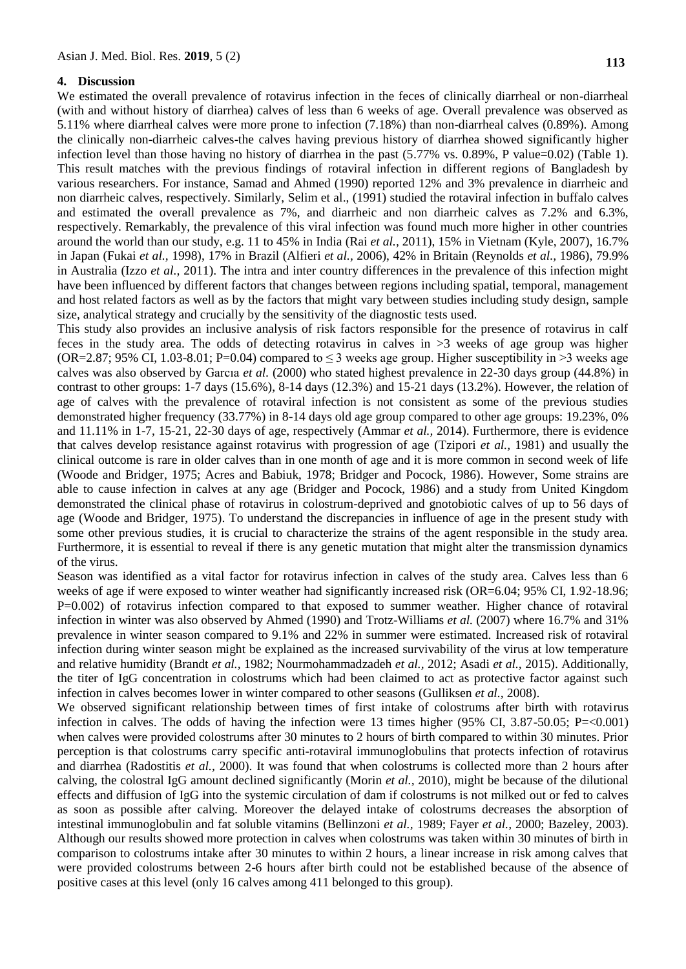#### **4. Discussion**

We estimated the overall prevalence of rotavirus infection in the feces of clinically diarrheal or non-diarrheal (with and without history of diarrhea) calves of less than 6 weeks of age. Overall prevalence was observed as 5.11% where diarrheal calves were more prone to infection (7.18%) than non-diarrheal calves (0.89%). Among the clinically non-diarrheic calves-the calves having previous history of diarrhea showed significantly higher infection level than those having no history of diarrhea in the past  $(5.77\% \text{ vs. } 0.89\%$ , P value=0.02) (Table 1). This result matches with the previous findings of rotaviral infection in different regions of Bangladesh by various researchers. For instance, [Samad and Ahmed \(1990\)](#page-9-15) reported 12% and 3% prevalence in diarrheic and non diarrheic calves, respectively. Similarly, Selim et al., (1991) studied the rotaviral infection in buffalo calves and estimated the overall prevalence as 7%, and diarrheic and non diarrheic calves as 7.2% and 6.3%, respectively. Remarkably, the prevalence of this viral infection was found much more higher in other countries around the world than our study, e.g. 11 to 45% in India (Rai *[et al.,](#page-9-16)* 2011), 15% in Vietnam [\(Kyle, 2007\)](#page-9-0), 16.7% in Japan [\(Fukai](#page-8-12) *et al.,* 1998), 17% in Brazil [\(Alfieri](#page-8-13) *et al.,* 2006), 42% in Britain [\(Reynolds](#page-9-10) *et al.,* 1986), 79.9% in Australia (Izzo *[et al.,](#page-8-14)* 2011). The intra and inter country differences in the prevalence of this infection might have been influenced by different factors that changes between regions including spatial, temporal, management and host related factors as well as by the factors that might vary between studies including study design, sample size, analytical strategy and crucially by the sensitivity of the diagnostic tests used.

This study also provides an inclusive analysis of risk factors responsible for the presence of rotavirus in calf feces in the study area. The odds of detecting rotavirus in calves in >3 weeks of age group was higher (OR=2.87; 95% CI, 1.03-8.01; P=0.04) compared to  $\leq$  3 weeks age group. Higher susceptibility in  $>$ 3 weeks age calves was also observed by [Garcıa](#page-8-14) *et al.* (2000) who stated highest prevalence in 22-30 days group (44.8%) in contrast to other groups: 1-7 days (15.6%), 8-14 days (12.3%) and 15-21 days (13.2%). However, the relation of age of calves with the prevalence of rotaviral infection is not consistent as some of the previous studies demonstrated higher frequency (33.77%) in 8-14 days old age group compared to other age groups: 19.23%, 0% and 11.11% in 1-7, 15-21, 22-30 days of age, respectively [\(Ammar](#page-8-15) *et al.,* 2014). Furthermore, there is evidence that calves develop resistance against rotavirus with progression of age (Tzipori *et al.,* 1981) and usually the clinical outcome is rare in older calves than in one month of age and it is more common in second week of life [\(Woode and Bridger, 1975;](#page-9-15) [Acres and Babiuk, 1978;](#page-7-1) [Bridger and Pocock, 1986\)](#page-8-16). However, Some strains are able to cause infection in calves at any age [\(Bridger and Pocock, 1986\)](#page-8-16) and a study from United Kingdom demonstrated the clinical phase of rotavirus in colostrum-deprived and gnotobiotic calves of up to 56 days of age [\(Woode and Bridger, 1975\)](#page-9-15). To understand the discrepancies in influence of age in the present study with some other previous studies, it is crucial to characterize the strains of the agent responsible in the study area. Furthermore, it is essential to reveal if there is any genetic mutation that might alter the transmission dynamics of the virus.

Season was identified as a vital factor for rotavirus infection in calves of the study area. Calves less than 6 weeks of age if were exposed to winter weather had significantly increased risk (OR=6.04; 95% CI, 1.92-18.96; P=0.002) of rotavirus infection compared to that exposed to summer weather. Higher chance of rotaviral infection in winter was also observed by Ahmed (1990) and Trotz-Williams *et al.* (2007) where 16.7% and 31% prevalence in winter season compared to 9.1% and 22% in summer were estimated. Increased risk of rotaviral infection during winter season might be explained as the increased survivability of the virus at low temperature and relative humidity [\(Brandt](#page-8-17) *et al.,* 1982; [Nourmohammadzadeh](#page-9-17) *et al.,* 2012; [Asadi](#page-8-18) *et al.,* 2015). Additionally, the titer of IgG concentration in colostrums which had been claimed to act as protective factor against such infection in calves becomes lower in winter compared to other seasons [\(Gulliksen](#page-8-19) *et al.,* 2008).

We observed significant relationship between times of first intake of colostrums after birth with rotavirus infection in calves. The odds of having the infection were 13 times higher  $(95\% \text{ CI}, 3.87\text{-}50.05; \text{P}=\langle 0.001 \rangle$ when calves were provided colostrums after 30 minutes to 2 hours of birth compared to within 30 minutes. Prior perception is that colostrums carry specific anti-rotaviral immunoglobulins that protects infection of rotavirus and diarrhea [\(Radostitis](#page-9-14) *et al.,* 2000). It was found that when colostrums is collected more than 2 hours after calving, the colostral IgG amount declined significantly [\(Morin](#page-9-18) *et al.,* 2010), might be because of the dilutional effects and diffusion of IgG into the systemic circulation of dam if colostrums is not milked out or fed to calves as soon as possible after calving. Moreover the delayed intake of colostrums decreases the absorption of intestinal immunoglobulin and fat soluble vitamins [\(Bellinzoni](#page-8-20) *et al.,* 1989; [Fayer](#page-8-21) *et al.,* 2000; [Bazeley, 2003\)](#page-8-22). Although our results showed more protection in calves when colostrums was taken within 30 minutes of birth in comparison to colostrums intake after 30 minutes to within 2 hours, a linear increase in risk among calves that were provided colostrums between 2-6 hours after birth could not be established because of the absence of positive cases at this level (only 16 calves among 411 belonged to this group).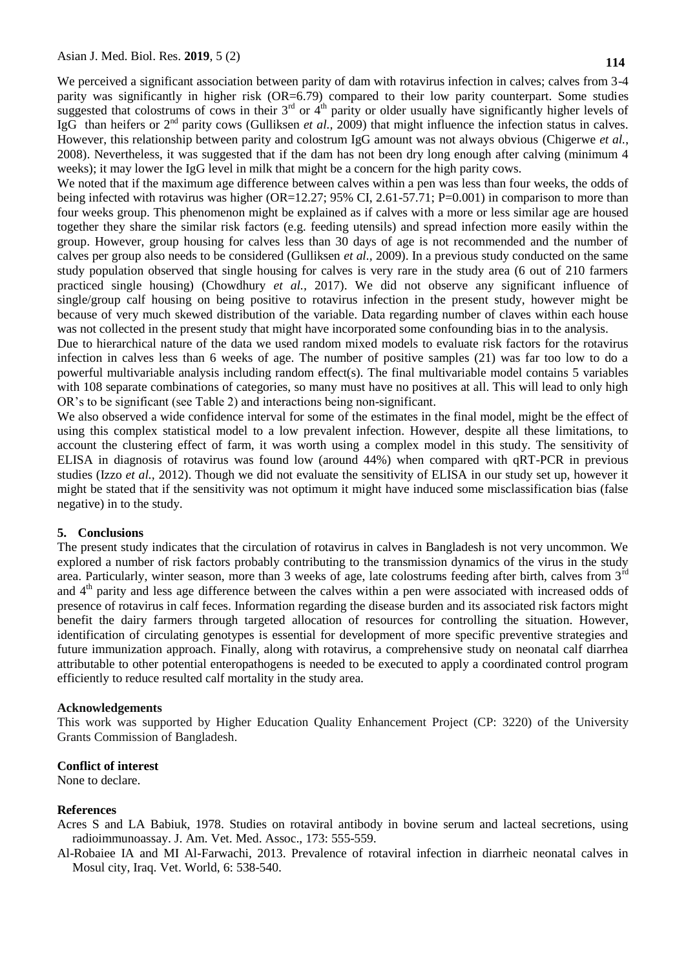We perceived a significant association between parity of dam with rotavirus infection in calves; calves from 3-4 parity was significantly in higher risk (OR=6.79) compared to their low parity counterpart. Some studies suggested that colostrums of cows in their 3<sup>rd</sup> or 4<sup>th</sup> parity or older usually have significantly higher levels of IgG than heifers or 2nd parity cows [\(Gulliksen](#page-8-23) *et al.,* 2009) that might influence the infection status in calves. However, this relationship between parity and colostrum IgG amount was not always obvious [\(Chigerwe](#page-8-24) *et al.*, [2008\)](#page-8-24). Nevertheless, it was suggested that if the dam has not been dry long enough after calving (minimum 4 weeks); it may lower the IgG level in milk that might be a concern for the high parity cows.

We noted that if the maximum age difference between calves within a pen was less than four weeks, the odds of being infected with rotavirus was higher (OR=12.27; 95% CI, 2.61-57.71; P=0.001) in comparison to more than four weeks group. This phenomenon might be explained as if calves with a more or less similar age are housed together they share the similar risk factors (e.g. feeding utensils) and spread infection more easily within the group. However, group housing for calves less than 30 days of age is not recommended and the number of calves per group also needs to be considered (Gulliksen *et al.,* 2009). In a previous study conducted on the same study population observed that single housing for calves is very rare in the study area (6 out of 210 farmers practiced single housing) [\(Chowdhury](#page-8-11) *et al.,* 2017). We did not observe any significant influence of single/group calf housing on being positive to rotavirus infection in the present study, however might be because of very much skewed distribution of the variable. Data regarding number of claves within each house was not collected in the present study that might have incorporated some confounding bias in to the analysis.

Due to hierarchical nature of the data we used random mixed models to evaluate risk factors for the rotavirus infection in calves less than 6 weeks of age. The number of positive samples (21) was far too low to do a powerful multivariable analysis including random effect(s). The final multivariable model contains 5 variables with 108 separate combinations of categories, so many must have no positives at all. This will lead to only high OR"s to be significant (see Table 2) and interactions being non-significant.

We also observed a wide confidence interval for some of the estimates in the final model, might be the effect of using this complex statistical model to a low prevalent infection. However, despite all these limitations, to account the clustering effect of farm, it was worth using a complex model in this study. The sensitivity of ELISA in diagnosis of rotavirus was found low (around 44%) when compared with qRT-PCR in previous studies (Izzo *[et al.,](#page-8-25)* 2012). Though we did not evaluate the sensitivity of ELISA in our study set up, however it might be stated that if the sensitivity was not optimum it might have induced some misclassification bias (false negative) in to the study.

#### **5. Conclusions**

The present study indicates that the circulation of rotavirus in calves in Bangladesh is not very uncommon. We explored a number of risk factors probably contributing to the transmission dynamics of the virus in the study area. Particularly, winter season, more than 3 weeks of age, late colostrums feeding after birth, calves from 3<sup>rd</sup> and  $4<sup>th</sup>$  parity and less age difference between the calves within a pen were associated with increased odds of presence of rotavirus in calf feces. Information regarding the disease burden and its associated risk factors might benefit the dairy farmers through targeted allocation of resources for controlling the situation. However, identification of circulating genotypes is essential for development of more specific preventive strategies and future immunization approach. Finally, along with rotavirus, a comprehensive study on neonatal calf diarrhea attributable to other potential enteropathogens is needed to be executed to apply a coordinated control program efficiently to reduce resulted calf mortality in the study area.

#### **Acknowledgements**

This work was supported by Higher Education Quality Enhancement Project (CP: 3220) of the University Grants Commission of Bangladesh.

#### **Conflict of interest**

None to declare.

#### **References**

<span id="page-7-1"></span>Acres S and LA Babiuk, 1978. Studies on rotaviral antibody in bovine serum and lacteal secretions, using radioimmunoassay. J. Am. Vet. Med. Assoc., 173: 555-559.

<span id="page-7-0"></span>Al-Robaiee IA and MI Al-Farwachi, 2013. Prevalence of rotaviral infection in diarrheic neonatal calves in Mosul city, Iraq. Vet. World, 6: 538-540.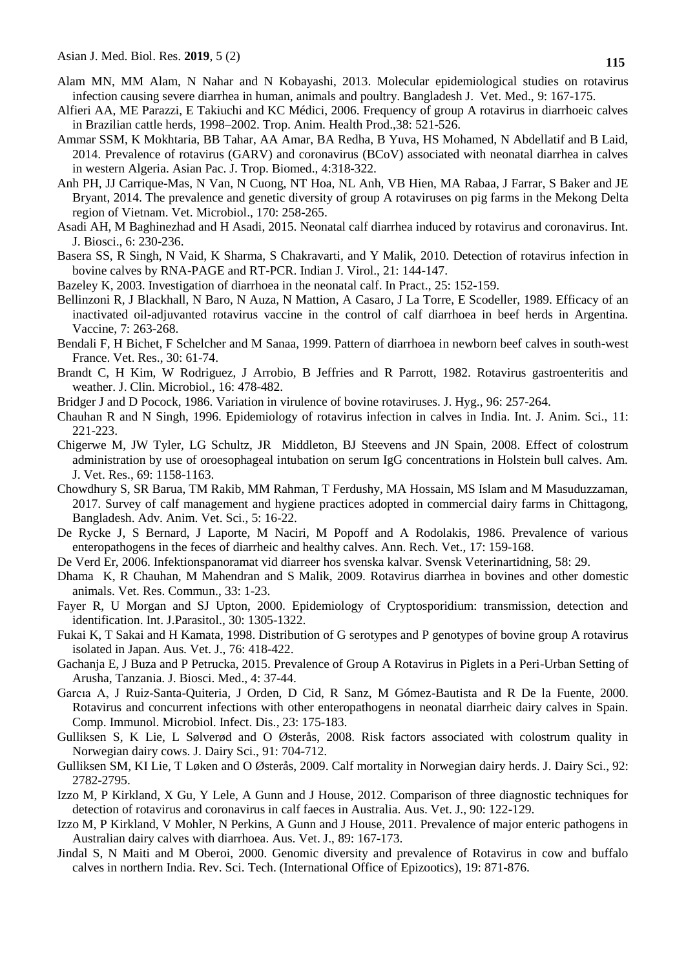- <span id="page-8-10"></span>Alam MN, MM Alam, N Nahar and N Kobayashi, 2013. Molecular epidemiological studies on rotavirus infection causing severe diarrhea in human, animals and poultry. Bangladesh J. Vet. Med., 9: 167-175.
- <span id="page-8-13"></span>Alfieri AA, ME Parazzi, E Takiuchi and KC Médici, 2006. Frequency of group A rotavirus in diarrhoeic calves in Brazilian cattle herds, 1998–2002. Trop. Anim. Health Prod.,38: 521-526.
- <span id="page-8-15"></span>Ammar SSM, K Mokhtaria, BB Tahar, AA Amar, BA Redha, B Yuva, HS Mohamed, N Abdellatif and B Laid, 2014. Prevalence of rotavirus (GARV) and coronavirus (BCoV) associated with neonatal diarrhea in calves in western Algeria. Asian Pac. J. Trop. Biomed., 4:318-322.
- <span id="page-8-2"></span>Anh PH, JJ Carrique-Mas, N Van, N Cuong, NT Hoa, NL Anh, VB Hien, MA Rabaa, J Farrar, S Baker and JE Bryant, 2014. The prevalence and genetic diversity of group A rotaviruses on pig farms in the Mekong Delta region of Vietnam. Vet. Microbiol., 170: 258-265.
- <span id="page-8-18"></span>Asadi AH, M Baghinezhad and H Asadi, 2015. Neonatal calf diarrhea induced by rotavirus and coronavirus. Int. J. Biosci., 6: 230-236.
- <span id="page-8-6"></span>Basera SS, R Singh, N Vaid, K Sharma, S Chakravarti, and Y Malik, 2010. Detection of rotavirus infection in bovine calves by RNA-PAGE and RT-PCR. Indian J. Virol., 21: 144-147.
- <span id="page-8-22"></span>Bazeley K, 2003. Investigation of diarrhoea in the neonatal calf. In Pract., 25: 152-159.
- <span id="page-8-20"></span>Bellinzoni R, J Blackhall, N Baro, N Auza, N Mattion, A Casaro, J La Torre, E Scodeller, 1989. Efficacy of an inactivated oil-adjuvanted rotavirus vaccine in the control of calf diarrhoea in beef herds in Argentina. Vaccine, 7: 263-268.
- <span id="page-8-9"></span>Bendali F, H Bichet, F Schelcher and M Sanaa, 1999. Pattern of diarrhoea in newborn beef calves in south-west France. Vet. Res., 30: 61-74.
- <span id="page-8-17"></span>Brandt C, H Kim, W Rodriguez, J Arrobio, B Jeffries and R Parrott, 1982. Rotavirus gastroenteritis and weather. J. Clin. Microbiol., 16: 478-482.
- <span id="page-8-16"></span>Bridger J and D Pocock, 1986. Variation in virulence of bovine rotaviruses. J. Hyg., 96: 257-264.
- <span id="page-8-1"></span>Chauhan R and N Singh, 1996. Epidemiology of rotavirus infection in calves in India. Int. J. Anim. Sci., 11: 221-223.
- <span id="page-8-24"></span>Chigerwe M, JW Tyler, LG Schultz, JR Middleton, BJ Steevens and JN Spain, 2008. Effect of colostrum administration by use of oroesophageal intubation on serum IgG concentrations in Holstein bull calves. Am. J. Vet. Res., 69: 1158-1163.
- <span id="page-8-11"></span>Chowdhury S, SR Barua, TM Rakib, MM Rahman, T Ferdushy, MA Hossain, MS Islam and M Masuduzzaman, 2017. Survey of calf management and hygiene practices adopted in commercial dairy farms in Chittagong, Bangladesh. Adv. Anim. Vet. Sci., 5: 16-22.
- <span id="page-8-8"></span>De Rycke J, S Bernard, J Laporte, M Naciri, M Popoff and A Rodolakis, 1986. Prevalence of various enteropathogens in the feces of diarrheic and healthy calves. Ann. Rech. Vet., 17: 159-168.
- <span id="page-8-7"></span>De Verd Er, 2006. Infektionspanoramat vid diarreer hos svenska kalvar. Svensk Veterinartidning, 58: 29.
- <span id="page-8-3"></span>Dhama K, R Chauhan, M Mahendran and S Malik, 2009. Rotavirus diarrhea in bovines and other domestic animals. Vet. Res. Commun., 33: 1-23.
- <span id="page-8-21"></span>Fayer R, U Morgan and SJ Upton, 2000. Epidemiology of Cryptosporidium: transmission, detection and identification. Int. J.Parasitol., 30: 1305-1322.
- <span id="page-8-12"></span>Fukai K, T Sakai and H Kamata, 1998. Distribution of G serotypes and P genotypes of bovine group A rotavirus isolated in Japan. Aus. Vet. J., 76: 418-422.
- <span id="page-8-4"></span>Gachanja E, J Buza and P Petrucka, 2015. Prevalence of Group A Rotavirus in Piglets in a Peri-Urban Setting of Arusha, Tanzania. J. Biosci. Med., 4: 37-44.
- <span id="page-8-0"></span>Garcıa A, J Ruiz-Santa-Quiteria, J Orden, D Cid, R Sanz, M Gómez-Bautista and R De la Fuente, 2000. Rotavirus and concurrent infections with other enteropathogens in neonatal diarrheic dairy calves in Spain. Comp. Immunol. Microbiol. Infect. Dis., 23: 175-183.
- <span id="page-8-19"></span>Gulliksen S, K Lie, L Sølverød and O Østerås, 2008. Risk factors associated with colostrum quality in Norwegian dairy cows. J. Dairy Sci., 91: 704-712.
- <span id="page-8-23"></span>Gulliksen SM, KI Lie, T Løken and O Østerås, 2009. Calf mortality in Norwegian dairy herds. J. Dairy Sci., 92: 2782-2795.
- <span id="page-8-25"></span>Izzo M, P Kirkland, X Gu, Y Lele, A Gunn and J House, 2012. Comparison of three diagnostic techniques for detection of rotavirus and coronavirus in calf faeces in Australia. Aus. Vet. J., 90: 122-129.
- <span id="page-8-14"></span>Izzo M, P Kirkland, V Mohler, N Perkins, A Gunn and J House, 2011. Prevalence of major enteric pathogens in Australian dairy calves with diarrhoea. Aus. Vet. J., 89: 167-173.
- <span id="page-8-5"></span>Jindal S, N Maiti and M Oberoi, 2000. Genomic diversity and prevalence of Rotavirus in cow and buffalo calves in northern India. Rev. Sci. Tech. (International Office of Epizootics), 19: 871-876.